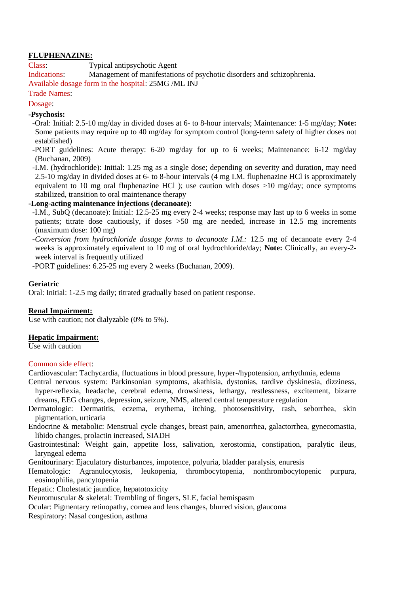### **FLUPHENAZINE:**

Class: Typical antipsychotic Agent Indications: Management of manifestations of psychotic disorders and schizophrenia. Available dosage form in the hospital: 25MG /ML INJ

# Trade Names:

Dosage:

## **-Psychosis:**

- -Oral: Initial: 2.5-10 mg/day in divided doses at 6- to 8-hour intervals; Maintenance: 1-5 mg/day; **Note:** Some patients may require up to 40 mg/day for symptom control (long-term safety of higher doses not established)
- -PORT guidelines: Acute therapy: 6-20 mg/day for up to 6 weeks; Maintenance: 6-12 mg/day (Buchanan, 2009)
- -I.M. (hydrochloride): Initial: 1.25 mg as a single dose; depending on severity and duration, may need 2.5-10 mg/day in divided doses at 6- to 8-hour intervals (4 mg I.M. fluphenazine HCl is approximately equivalent to 10 mg oral fluphenazine HCl ); use caution with doses  $>10$  mg/day; once symptoms stabilized, transition to oral maintenance therapy

#### **-Long-acting maintenance injections (decanoate):**

- -I.M., SubQ (decanoate): Initial: 12.5-25 mg every 2-4 weeks; response may last up to 6 weeks in some patients; titrate dose cautiously, if doses  $>50$  mg are needed, increase in 12.5 mg increments (maximum dose: 100 mg)
- *-Conversion from hydrochloride dosage forms to decanoate I.M.:* 12.5 mg of decanoate every 2-4 weeks is approximately equivalent to 10 mg of oral hydrochloride/day; **Note:** Clinically, an every-2 week interval is frequently utilized

-PORT guidelines: 6.25-25 mg every 2 weeks (Buchanan, 2009).

#### **Geriatric**

Oral: Initial: 1-2.5 mg daily; titrated gradually based on patient response.

#### **Renal Impairment:**

Use with caution; not dialyzable (0% to 5%).

#### **Hepatic Impairment:**

Use with caution

#### Common side effect:

Cardiovascular: Tachycardia, fluctuations in blood pressure, hyper-/hypotension, arrhythmia, edema

- Central nervous system: Parkinsonian symptoms, akathisia, dystonias, tardive dyskinesia, dizziness, hyper-reflexia, headache, cerebral edema, drowsiness, lethargy, restlessness, excitement, bizarre dreams, EEG changes, depression, seizure, NMS, altered central temperature regulation
- Dermatologic: Dermatitis, eczema, erythema, itching, photosensitivity, rash, seborrhea, skin pigmentation, urticaria
- Endocrine & metabolic: Menstrual cycle changes, breast pain, amenorrhea, galactorrhea, gynecomastia, libido changes, prolactin increased, SIADH
- Gastrointestinal: Weight gain, appetite loss, salivation, xerostomia, constipation, paralytic ileus, laryngeal edema

Genitourinary: Ejaculatory disturbances, impotence, polyuria, bladder paralysis, enuresis

Hematologic: Agranulocytosis, leukopenia, thrombocytopenia, nonthrombocytopenic purpura, eosinophilia, pancytopenia

Hepatic: Cholestatic jaundice, hepatotoxicity

Neuromuscular & skeletal: Trembling of fingers, SLE, facial hemispasm

Ocular: Pigmentary retinopathy, cornea and lens changes, blurred vision, glaucoma

Respiratory: Nasal congestion, asthma